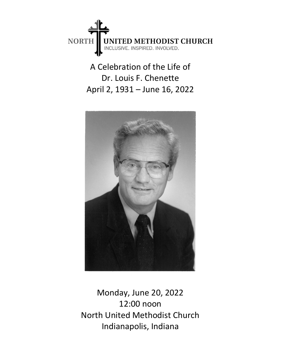

A Celebration of the Life of Dr. Louis F. Chenette April 2, 1931 – June 16, 2022



Monday, June 20, 2022 12:00 noon North United Methodist Church Indianapolis, Indiana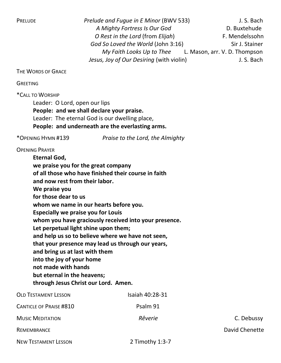PRELUDE Prelude and Fugue in E Minor (BWV 533) J.S. Bach A Mighty Fortress Is Our God D. Buxtehude O Rest in the Lord (from Elijah) F. Mendelssohn God So Loved the World (John 3:16) Sir J. Stainer My Faith Looks Up to Thee L. Mason, arr. V. D. Thompson Jesus, Joy of Our Desiring (with violin) J. S. Bach

THE WORDS OF GRACE

**GREETING** 

\*CALL TO WORSHIP

Leader: O Lord, open our lips People: and we shall declare your praise. Leader: The eternal God is our dwelling place, People: and underneath are the everlasting arms.

\*OPENING HYMN #139 Praise to the Lord, the Almighty

OPENING PRAYER

Eternal God, we praise you for the great company of all those who have finished their course in faith and now rest from their labor. We praise you for those dear to us whom we name in our hearts before you. Especially we praise you for Louis whom you have graciously received into your presence. Let perpetual light shine upon them; and help us so to believe where we have not seen, that your presence may lead us through our years, and bring us at last with them into the joy of your home not made with hands but eternal in the heavens; through Jesus Christ our Lord. Amen. OLD TESTAMENT LESSON ISAIAh 40:28-31

CANTICLE OF PRAISE #810 PSALM 91 Music Meditation **C. Debussy** Reverie **Reverie** C. Debussy REMEMBRANCE **David Chenette** David Chenette **David Chenette** David Chenette NEW TESTAMENT LESSON 2 Timothy 1:3-7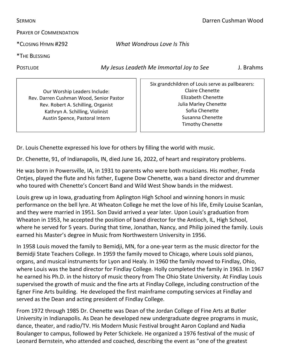SERMON Darren Cushman Wood

PRAYER OF COMMENDATION

\*CLOSING HYMN #292 What Wondrous Love Is This

\*THE BLESSING

POSTLUDE My Jesus Leadeth Me Immortal Joy to See J. Brahms

Our Worship Leaders Include: Rev. Darren Cushman Wood, Senior Pastor Rev. Robert A. Schilling, Organist Kathryn A. Schilling, Violinist Austin Spence, Pastoral Intern

Six grandchildren of Louis serve as pallbearers: Claire Chenette Elizabeth Chenette Julia Marley Chenette Sofia Chenette Susanna Chenette Timothy Chenette

Dr. Louis Chenette expressed his love for others by filling the world with music.

Dr. Chenette, 91, of Indianapolis, IN, died June 16, 2022, of heart and respiratory problems.

He was born in Powersville, IA, in 1931 to parents who were both musicians. His mother, Freda Ontjes, played the flute and his father, Eugene Dow Chenette, was a band director and drummer who toured with Chenette's Concert Band and Wild West Show bands in the midwest.

Louis grew up in Iowa, graduating from Aplington High School and winning honors in music performance on the bell lyre. At Wheaton College he met the love of his life, Emily Louise Scanlan, and they were married in 1951. Son David arrived a year later. Upon Louis's graduation from Wheaton in 1953, he accepted the position of band director for the Antioch, IL, High School, where he served for 5 years. During that time, Jonathan, Nancy, and Philip joined the family. Louis earned his Master's degree in Music from Northwestern University in 1956.

In 1958 Louis moved the family to Bemidji, MN, for a one-year term as the music director for the Bemidji State Teachers College. In 1959 the family moved to Chicago, where Louis sold pianos, organs, and musical instruments for Lyon and Healy. In 1960 the family moved to Findlay, Ohio, where Louis was the band director for Findlay College. Holly completed the family in 1963. In 1967 he earned his Ph.D. in the history of music theory from The Ohio State University. At Findlay Louis supervised the growth of music and the fine arts at Findlay College, including construction of the Egner Fine Arts building. He developed the first mainframe computing services at Findlay and served as the Dean and acting president of Findlay College.

From 1972 through 1985 Dr. Chenette was Dean of the Jordan College of Fine Arts at Butler University in Indianapolis. As Dean he developed new undergraduate degree programs in music, dance, theater, and radio/TV. His Modern Music Festival brought Aaron Copland and Nadia Boulanger to campus, followed by Peter Schickele. He organized a 1976 festival of the music of Leonard Bernstein, who attended and coached, describing the event as "one of the greatest